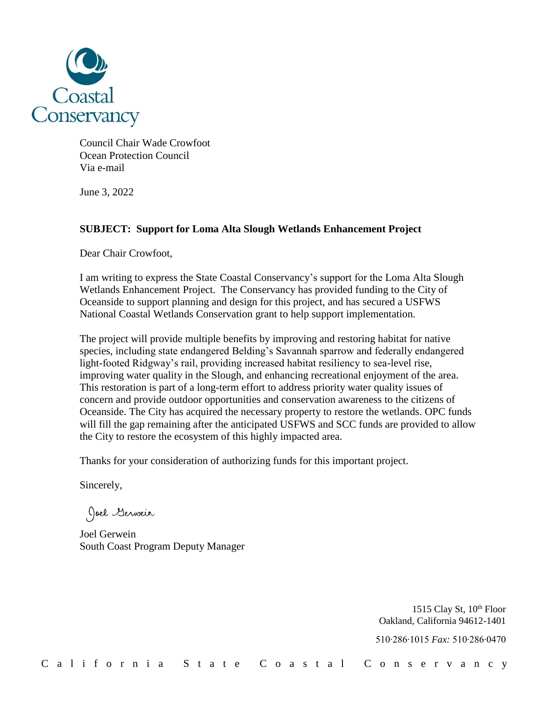

Council Chair Wade Crowfoot Ocean Protection Council Via e-mail

June 3, 2022

## **SUBJECT: Support for Loma Alta Slough Wetlands Enhancement Project**

Dear Chair Crowfoot,

I am writing to express the State Coastal Conservancy's support for the Loma Alta Slough Wetlands Enhancement Project. The Conservancy has provided funding to the City of Oceanside to support planning and design for this project, and has secured a USFWS National Coastal Wetlands Conservation grant to help support implementation.

The project will provide multiple benefits by improving and restoring habitat for native species, including state endangered Belding's Savannah sparrow and federally endangered light-footed Ridgway's rail, providing increased habitat resiliency to sea-level rise, improving water quality in the Slough, and enhancing recreational enjoyment of the area. This restoration is part of a long-term effort to address priority water quality issues of concern and provide outdoor opportunities and conservation awareness to the citizens of Oceanside. The City has acquired the necessary property to restore the wetlands. OPC funds will fill the gap remaining after the anticipated USFWS and SCC funds are provided to allow the City to restore the ecosystem of this highly impacted area.

Thanks for your consideration of authorizing funds for this important project.

Sincerely,

Joel Gerwein

Joel Gerwein South Coast Program Deputy Manager

1515 Clay St, 10<sup>th</sup> Floor Oakland, California 94612-1401

510∙286∙1015 *Fax:* 510∙286∙0470